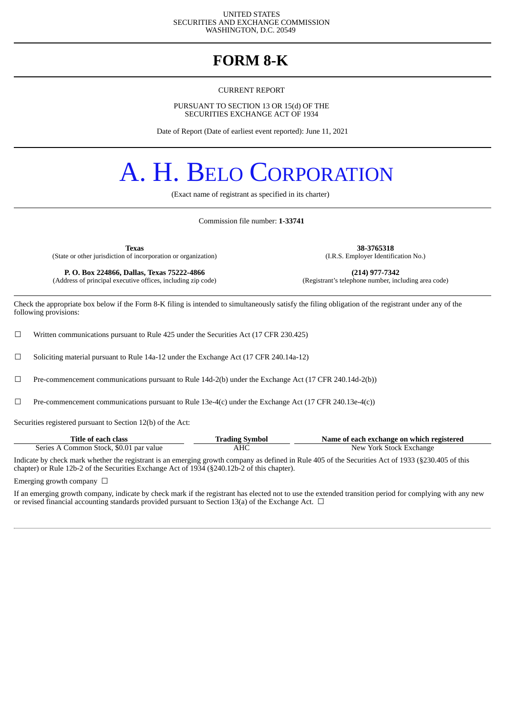#### UNITED STATES SECURITIES AND EXCHANGE COMMISSION WASHINGTON, D.C. 20549

### **FORM 8-K**

CURRENT REPORT

PURSUANT TO SECTION 13 OR 15(d) OF THE SECURITIES EXCHANGE ACT OF 1934

Date of Report (Date of earliest event reported): June 11, 2021

# A. H. BELO CORPORATION

(Exact name of registrant as specified in its charter)

Commission file number: **1-33741**

**Texas 38-3765318** (State or other jurisdiction of incorporation or organization)

**P. O. Box 224866, Dallas, Texas 75222-4866** (214) **(214) 977-7342** (dress of principal executive offices, including zip code) (Registrant's telephone number, including area code) (Address of principal executive offices, including zip code)

Check the appropriate box below if the Form 8-K filing is intended to simultaneously satisfy the filing obligation of the registrant under any of the following provisions:

 $\Box$  Written communications pursuant to Rule 425 under the Securities Act (17 CFR 230.425)

 $\Box$  Soliciting material pursuant to Rule 14a-12 under the Exchange Act (17 CFR 240.14a-12)

☐ Pre-commencement communications pursuant to Rule 14d-2(b) under the Exchange Act (17 CFR 240.14d-2(b))

 $□$  Pre-commencement communications pursuant to Rule 13e-4(c) under the Exchange Act (17 CFR 240.13e-4(c))

Securities registered pursuant to Section 12(b) of the Act:

| Title of each class                     | <b>Trading Symbol</b> | Name of each exchange on which registered |
|-----------------------------------------|-----------------------|-------------------------------------------|
| Series A Common Stock, \$0.01 par value | AHC                   | New York Stock Exchange                   |

Indicate by check mark whether the registrant is an emerging growth company as defined in Rule 405 of the Securities Act of 1933 (§230.405 of this chapter) or Rule 12b-2 of the Securities Exchange Act of 1934 (§240.12b-2 of this chapter).

Emerging growth company  $\Box$ 

If an emerging growth company, indicate by check mark if the registrant has elected not to use the extended transition period for complying with any new or revised financial accounting standards provided pursuant to Section 13(a) of the Exchange Act.  $\Box$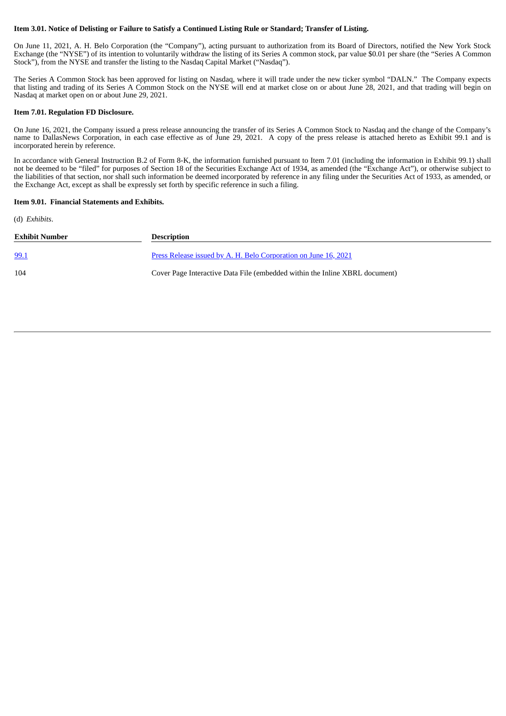#### Item 3.01. Notice of Delisting or Failure to Satisfy a Continued Listing Rule or Standard; Transfer of Listing.

On June 11, 2021, A. H. Belo Corporation (the "Company"), acting pursuant to authorization from its Board of Directors, notified the New York Stock Exchange (the "NYSE") of its intention to voluntarily withdraw the listing of its Series A common stock, par value \$0.01 per share (the "Series A Common Stock"), from the NYSE and transfer the listing to the Nasdaq Capital Market ("Nasdaq").

The Series A Common Stock has been approved for listing on Nasdaq, where it will trade under the new ticker symbol "DALN." The Company expects that listing and trading of its Series A Common Stock on the NYSE will end at market close on or about June 28, 2021, and that trading will begin on Nasdaq at market open on or about June 29, 2021.

#### **Item 7.01. Regulation FD Disclosure.**

On June 16, 2021, the Company issued a press release announcing the transfer of its Series A Common Stock to Nasdaq and the change of the Company's name to DallasNews Corporation, in each case effective as of June 29, 2021. A copy of the press release is attached hereto as Exhibit 99.1 and is incorporated herein by reference.

In accordance with General Instruction B.2 of Form 8-K, the information furnished pursuant to Item 7.01 (including the information in Exhibit 99.1) shall not be deemed to be "filed" for purposes of Section 18 of the Securities Exchange Act of 1934, as amended (the "Exchange Act"), or otherwise subject to the liabilities of that section, nor shall such information be deemed incorporated by reference in any filing under the Securities Act of 1933, as amended, or the Exchange Act, except as shall be expressly set forth by specific reference in such a filing.

#### **Item 9.01. Financial Statements and Exhibits.**

(d) *Exhibits*.

| Exhibit Number | <b>Description</b>                                                          |
|----------------|-----------------------------------------------------------------------------|
| <u>99.1</u>    | Press Release issued by A. H. Belo Corporation on June 16, 2021             |
| 104            | Cover Page Interactive Data File (embedded within the Inline XBRL document) |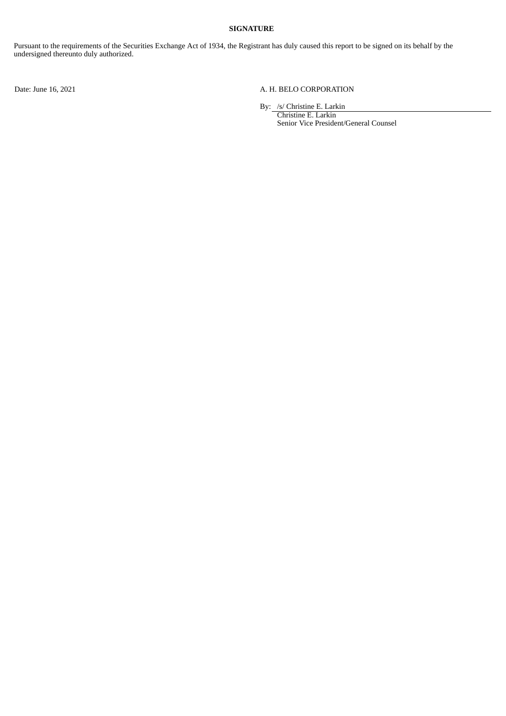#### **SIGNATURE**

Pursuant to the requirements of the Securities Exchange Act of 1934, the Registrant has duly caused this report to be signed on its behalf by the undersigned thereunto duly authorized.

#### Date: June 16, 2021 A. H. BELO CORPORATION

By: /s/ Christine E. Larkin

Christine E. Larkin Senior Vice President/General Counsel